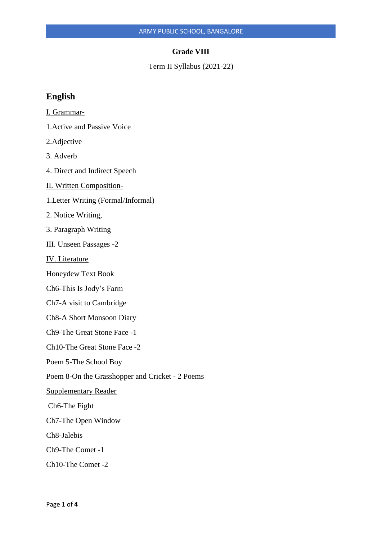#### **Grade VIII**

Term II Syllabus (2021-22)

# **English**

- I. Grammar-
- 1.Active and Passive Voice
- 2.Adjective
- 3. Adverb
- 4. Direct and Indirect Speech
- II. Written Composition-
- 1.Letter Writing (Formal/Informal)
- 2. Notice Writing,
- 3. Paragraph Writing
- III. Unseen Passages -2
- IV. Literature
- Honeydew Text Book
- Ch6-This Is Jody's Farm
- Ch7-A visit to Cambridge
- Ch8-A Short Monsoon Diary
- Ch9-The Great Stone Face -1
- Ch10-The Great Stone Face -2
- Poem 5-The School Boy
- Poem 8-On the Grasshopper and Cricket 2 Poems
- Supplementary Reader
- Ch6-The Fight
- Ch7-The Open Window
- Ch8-Jalebis
- Ch9-The Comet -1
- Ch10-The Comet -2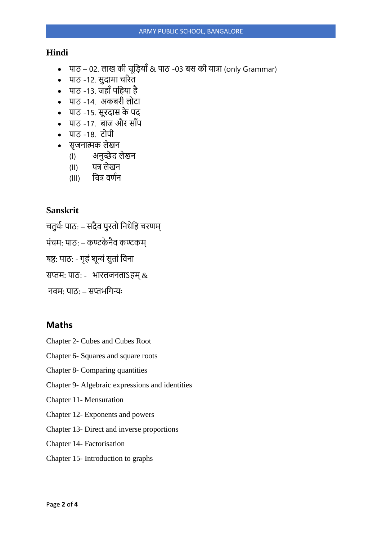## **Hindi**

- पाठ 02. लाख की चूड़ियाँ & पाठ -03 बस की यात्रा (only Grammar)
- पाठ -12. सुदामा चरित
- पाठ -13. जहाँ पहिया है
- पाठ -14. अकबिी लोटा
- पाठ -15. सूिदास के पद
- पाठ -17. बाज और साँप
- पाठ -18. टोपी
- सृजनात्मक लेखन
	- (I) अनुच्छेद लेखन
	- (II) पत्र लेखन
	- (III) चित्र वर्णन

# **Sanskrit**

- चतुर्थः पाठ: सदैव पुरतो निधेनि चरणम्
- पंचम: पाठ: कण्टके िैव कण्टकम्
- षष्ठ: पाठ: गृहं शून्यं सुतां विना
- सप्तम: पाठ: भारतजनताऽहम् $\, \& \,$
- िवम: पाठ: सप्तभनगन्यः

## **Maths**

- Chapter 2- Cubes and Cubes Root
- Chapter 6- Squares and square roots
- Chapter 8- Comparing quantities
- Chapter 9- Algebraic expressions and identities
- Chapter 11- Mensuration
- Chapter 12- Exponents and powers
- Chapter 13- Direct and inverse proportions
- Chapter 14- Factorisation
- Chapter 15- Introduction to graphs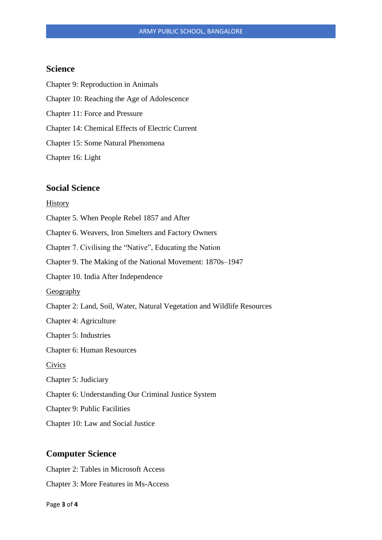## **Science**

Chapter 9: Reproduction in Animals Chapter 10: Reaching the Age of Adolescence Chapter 11: Force and Pressure Chapter 14: Chemical Effects of Electric Current Chapter 15: Some Natural Phenomena Chapter 16: Light

#### **Social Science**

#### History

- Chapter 5. When People Rebel 1857 and After
- Chapter 6. Weavers, Iron Smelters and Factory Owners
- Chapter 7. Civilising the "Native", Educating the Nation
- Chapter 9. The Making of the National Movement: 1870s–1947
- Chapter 10. India After Independence

Geography

- Chapter 2: Land, Soil, Water, Natural Vegetation and Wildlife Resources
- Chapter 4: Agriculture
- Chapter 5: Industries
- Chapter 6: Human Resources

Civics

- Chapter 5: Judiciary
- Chapter 6: Understanding Our Criminal Justice System
- Chapter 9: Public Facilities
- Chapter 10: Law and Social Justice

#### **Computer Science**

Chapter 2: Tables in Microsoft Access

Chapter 3: More Features in Ms-Access